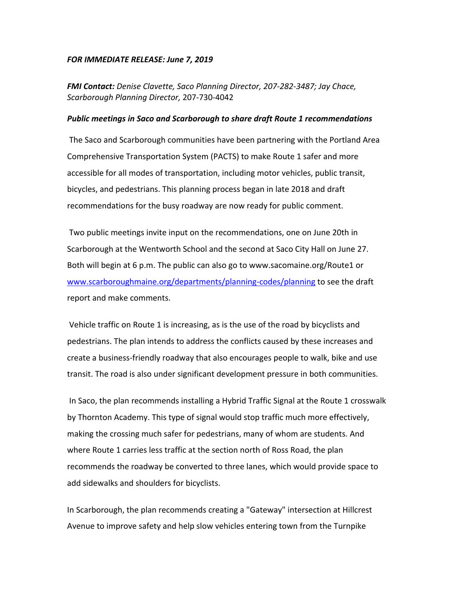## *FOR IMMEDIATE RELEASE: June 7, 2019*

*FMI Contact: Denise Clavette, Saco Planning Director, 207-282-3487; Jay Chace, Scarborough Planning Director,* 207-730-4042

## *Public meetings in Saco and Scarborough to share draft Route 1 recommendations*

 The Saco and Scarborough communities have been partnering with the Portland Area Comprehensive Transportation System (PACTS) to make Route 1 safer and more accessible for all modes of transportation, including motor vehicles, public transit, bicycles, and pedestrians. This planning process began in late 2018 and draft recommendations for the busy roadway are now ready for public comment.

 Two public meetings invite input on the recommendations, one on June 20th in Scarborough at the Wentworth School and the second at Saco City Hall on June 27. Both will begin at 6 p.m. The public can also go to www.sacomaine.org/Route1 or www.scarboroughmaine.org/departments/planning-codes/planning to see the draft report and make comments.

 Vehicle traffic on Route 1 is increasing, as is the use of the road by bicyclists and pedestrians. The plan intends to address the conflicts caused by these increases and create a business-friendly roadway that also encourages people to walk, bike and use transit. The road is also under significant development pressure in both communities.

 In Saco, the plan recommends installing a Hybrid Traffic Signal at the Route 1 crosswalk by Thornton Academy. This type of signal would stop traffic much more effectively, making the crossing much safer for pedestrians, many of whom are students. And where Route 1 carries less traffic at the section north of Ross Road, the plan recommends the roadway be converted to three lanes, which would provide space to add sidewalks and shoulders for bicyclists.

In Scarborough, the plan recommends creating a "Gateway" intersection at Hillcrest Avenue to improve safety and help slow vehicles entering town from the Turnpike